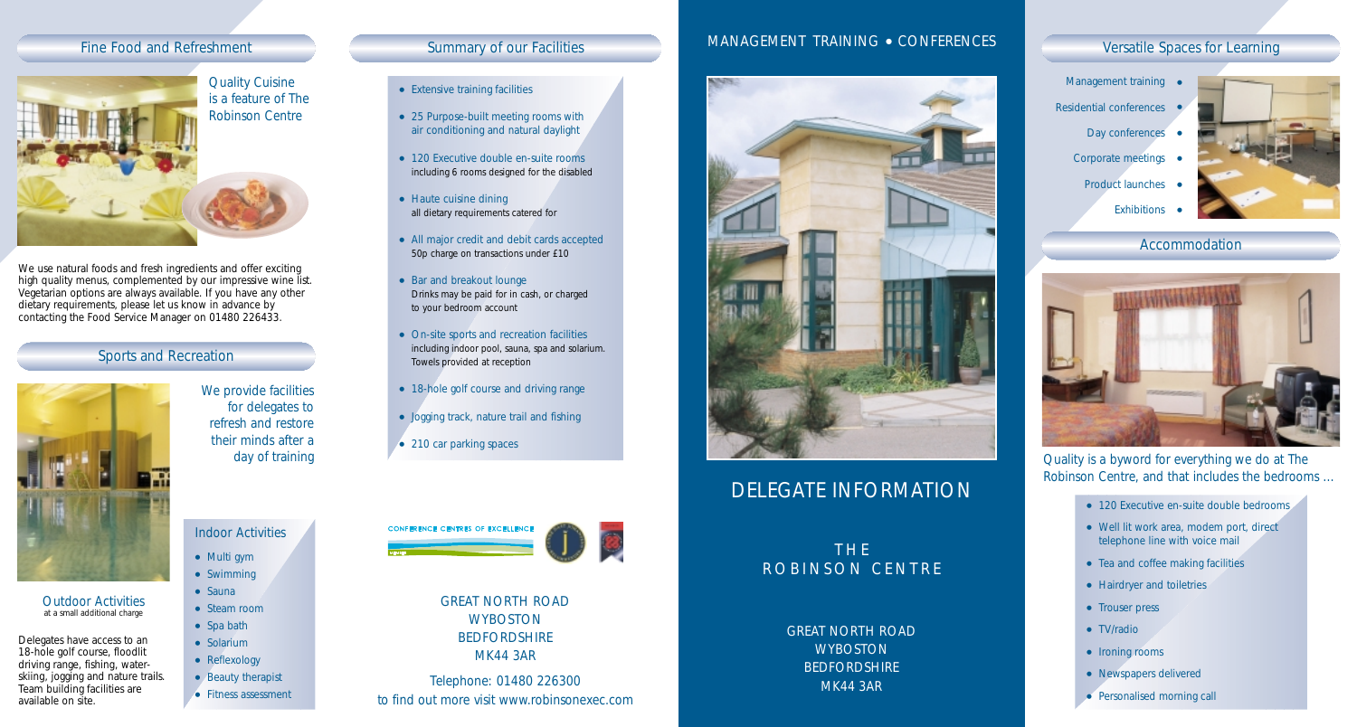

We use natural foods and fresh ingredients and offer exciting high quality menus, complemented by our impressive wine list. Vegetarian options are always available. If you have any other dietary requirements, please let us know in advance by contacting the Food Service Manager on 01480 226433.

## Sports and Recreation



*Outdoor Activities* at a small additional charge

Delegates have access to an 18-hole golf course, floodlit driving range, fishing, waterskiing, jogging and nature trails. Team building facilities are available on site.

- Extensive training facilities
- 25 Purpose-built meeting rooms with air conditioning and natural daylight
- 120 Executive double en-suite rooms including 6 rooms designed for the disabled
- Haute cuisine dining all dietary requirements catered for
- All major credit and debit cards accepted 50p charge on transactions under £10
- Bar and breakout lounge Drinks may be paid for in cash, or charged to your bedroom account
- On-site sports and recreation facilities including indoor pool, sauna, spa and solarium. Towels provided at reception
- 18-hole golf course and driving range
- Jogging track, nature trail and fishing
- 210 car parking spaces



GREAT NORTH ROAD **WYBOSTON BEDFORDSHIRE** MK44 3AR

Telephone: 01480 226300 to find out more visit www.robinsonexec.com

### Fine Food and Refreshment Summary of our Facilities MANAGEMENT TRAINING • CONFERENCES Versatile Spaces for Learning MANAGEMENT TRAINING ● CONFERENCES



# DELEGATE INFORMATION

THE ROBINSON CENTRE

> GREAT NORTH ROAD **WYBOSTON** BEDFORDSHIRE MK44 3AR





Accommodation



*Quality is a byword for everything we do at The Robinson Centre, and that includes the bedrooms …*

- 120 Executive en-suite double bedrooms
- Well lit work area, modem port, direct telephone line with voice mail
- Tea and coffee making facilities
- Hairdryer and toiletries
- Trouser press
- TV/radio
- Ironing rooms
- Newspapers delivered
- Personalised morning call

*for delegates to refresh and restore their minds after a day of training*

*We provide facilities* 

*Indoor Activities*

● Multi gym ● Swimming ● Sauna ● Steam room ● Spa bath ● Solarium • Reflexology ● Beauty therapist ● Fitness assessment